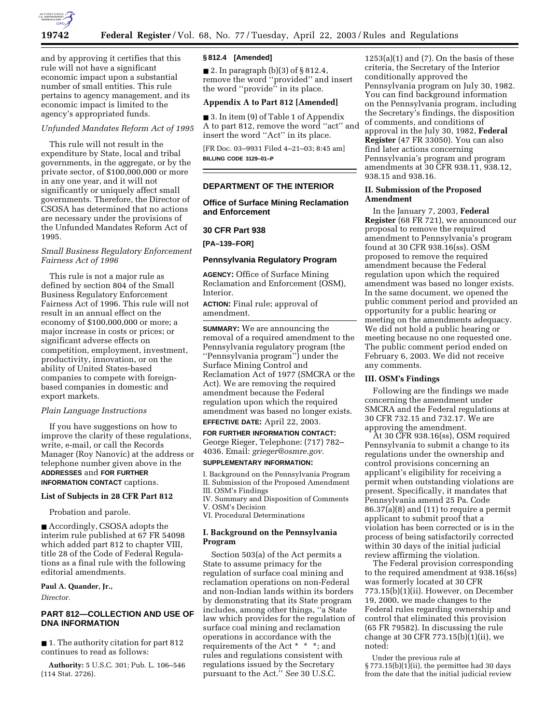

and by approving it certifies that this rule will not have a significant economic impact upon a substantial number of small entities. This rule pertains to agency management, and its economic impact is limited to the agency's appropriated funds.

*Unfunded Mandates Reform Act of 1995* 

This rule will not result in the expenditure by State, local and tribal governments, in the aggregate, or by the private sector, of \$100,000,000 or more in any one year, and it will not significantly or uniquely affect small governments. Therefore, the Director of CSOSA has determined that no actions are necessary under the provisions of the Unfunded Mandates Reform Act of 1995.

## *Small Business Regulatory Enforcement Fairness Act of 1996*

This rule is not a major rule as defined by section 804 of the Small Business Regulatory Enforcement Fairness Act of 1996. This rule will not result in an annual effect on the economy of \$100,000,000 or more; a major increase in costs or prices; or significant adverse effects on competition, employment, investment, productivity, innovation, or on the ability of United States-based companies to compete with foreignbased companies in domestic and export markets.

### *Plain Language Instructions*

If you have suggestions on how to improve the clarity of these regulations, write, e-mail, or call the Records Manager (Roy Nanovic) at the address or telephone number given above in the **ADDRESSES** and **FOR FURTHER INFORMATION CONTACT** captions.

#### **List of Subjects in 28 CFR Part 812**

Probation and parole.

■ Accordingly, CSOSA adopts the interim rule published at 67 FR 54098 which added part 812 to chapter VIII, title 28 of the Code of Federal Regulations as a final rule with the following editorial amendments.

#### **Paul A. Quander, Jr.,**

*Director.*

# **PART 812—COLLECTION AND USE OF DNA INFORMATION**

■ 1. The authority citation for part 812 continues to read as follows:

**Authority:** 5 U.S.C. 301; Pub. L. 106–546 (114 Stat. 2726).

### **§ 812.4 [Amended]**

■ 2. In paragraph (b)(3) of § 812.4, remove the word ''provided'' and insert the word ''provide'' in its place.

### **Appendix A to Part 812 [Amended]**

■ 3. In item (9) of Table 1 of Appendix A to part 812, remove the word ''act'' and insert the word ''Act'' in its place.

[FR Doc. 03–9931 Filed 4–21–03; 8:45 am] **BILLING CODE 3129–01–P**

### **DEPARTMENT OF THE INTERIOR**

**Office of Surface Mining Reclamation and Enforcement** 

### **30 CFR Part 938**

**[PA–139–FOR]** 

### **Pennsylvania Regulatory Program**

**AGENCY:** Office of Surface Mining Reclamation and Enforcement (OSM), Interior.

**ACTION:** Final rule; approval of amendment.

**SUMMARY:** We are announcing the removal of a required amendment to the Pennsylvania regulatory program (the ''Pennsylvania program'') under the Surface Mining Control and Reclamation Act of 1977 (SMCRA or the Act). We are removing the required amendment because the Federal regulation upon which the required amendment was based no longer exists.

# **EFFECTIVE DATE:** April 22, 2003.

**FOR FURTHER INFORMATION CONTACT:** George Rieger, Telephone: (717) 782– 4036. Email: *grieger@osmre.gov.*

## **SUPPLEMENTARY INFORMATION:**

I. Background on the Pennsylvania Program II. Submission of the Proposed Amendment III. OSM's Findings

IV. Summary and Disposition of Comments V. OSM's Decision

VI. Procedural Determinations

### **I. Background on the Pennsylvania Program**

Section 503(a) of the Act permits a State to assume primacy for the regulation of surface coal mining and reclamation operations on non-Federal and non-Indian lands within its borders by demonstrating that its State program includes, among other things, ''a State law which provides for the regulation of surface coal mining and reclamation operations in accordance with the requirements of the Act \* \* \*; and rules and regulations consistent with regulations issued by the Secretary pursuant to the Act.'' *See* 30 U.S.C.

 $1253(a)(1)$  and  $(7)$ . On the basis of these criteria, the Secretary of the Interior conditionally approved the Pennsylvania program on July 30, 1982. You can find background information on the Pennsylvania program, including the Secretary's findings, the disposition of comments, and conditions of approval in the July 30, 1982, **Federal Register** (47 FR 33050). You can also find later actions concerning Pennsylvania's program and program amendments at 30 CFR 938.11, 938.12, 938.15 and 938.16.

### **II. Submission of the Proposed Amendment**

In the January 7, 2003, **Federal Register** (68 FR 721), we announced our proposal to remove the required amendment to Pennsylvania's program found at 30 CFR 938.16(ss). OSM proposed to remove the required amendment because the Federal regulation upon which the required amendment was based no longer exists. In the same document, we opened the public comment period and provided an opportunity for a public hearing or meeting on the amendments adequacy. We did not hold a public hearing or meeting because no one requested one. The public comment period ended on February 6, 2003. We did not receive any comments.

#### **III. OSM's Findings**

Following are the findings we made concerning the amendment under SMCRA and the Federal regulations at 30 CFR 732.15 and 732.17. We are approving the amendment.

At 30 CFR 938.16(ss), OSM required Pennsylvania to submit a change to its regulations under the ownership and control provisions concerning an applicant's eligibility for receiving a permit when outstanding violations are present. Specifically, it mandates that Pennsylvania amend 25 Pa. Code 86.37(a)(8) and (11) to require a permit applicant to submit proof that a violation has been corrected or is in the process of being satisfactorily corrected within 30 days of the initial judicial review affirming the violation.

The Federal provision corresponding to the required amendment at 938.16(ss) was formerly located at 30 CFR 773.15(b)(1)(ii). However, on December 19, 2000, we made changes to the Federal rules regarding ownership and control that eliminated this provision (65 FR 79582). In discussing the rule change at 30 CFR 773.15(b)(1)(ii), we noted:

Under the previous rule at § 773.15(b)(1)(ii), the permittee had 30 days from the date that the initial judicial review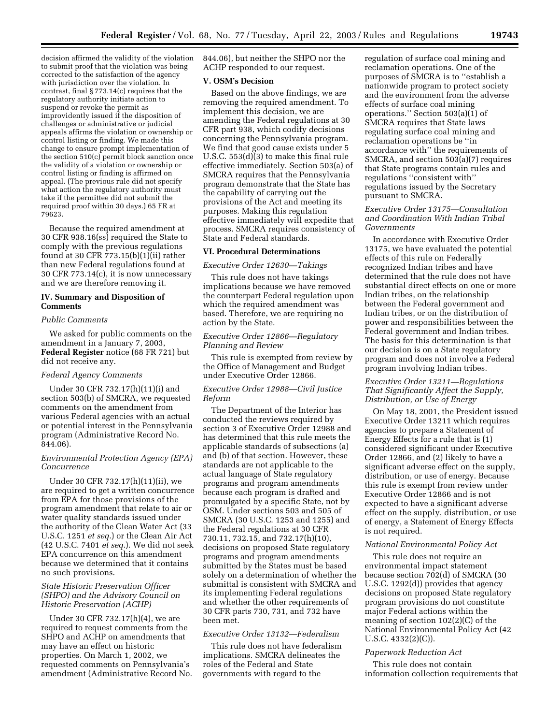decision affirmed the validity of the violation to submit proof that the violation was being corrected to the satisfaction of the agency with jurisdiction over the violation. In contrast, final § 773.14(c) requires that the regulatory authority initiate action to suspend or revoke the permit as improvidently issued if the disposition of challenges or administrative or judicial appeals affirms the violation or ownership or control listing or finding. We made this change to ensure prompt implementation of the section 510(c) permit block sanction once the validity of a violation or ownership or control listing or finding is affirmed on appeal. (The previous rule did not specify what action the regulatory authority must take if the permittee did not submit the required proof within 30 days.) 65 FR at 79623.

Because the required amendment at 30 CFR 938.16(ss) required the State to comply with the previous regulations found at 30 CFR 773.15(b)(1)(ii) rather than new Federal regulations found at 30 CFR 773.14(c), it is now unnecessary and we are therefore removing it.

## **IV. Summary and Disposition of Comments**

### *Public Comments*

We asked for public comments on the amendment in a January 7, 2003, **Federal Register** notice (68 FR 721) but did not receive any.

### *Federal Agency Comments*

Under 30 CFR 732.17(h)(11)(i) and section 503(b) of SMCRA, we requested comments on the amendment from various Federal agencies with an actual or potential interest in the Pennsylvania program (Administrative Record No. 844.06).

## *Environmental Protection Agency (EPA) Concurrence*

Under 30 CFR 732.17(h)(11)(ii), we are required to get a written concurrence from EPA for those provisions of the program amendment that relate to air or water quality standards issued under the authority of the Clean Water Act (33 U.S.C. 1251 *et seq.*) or the Clean Air Act (42 U.S.C. 7401 *et seq.*). We did not seek EPA concurrence on this amendment because we determined that it contains no such provisions.

## *State Historic Preservation Officer (SHPO) and the Advisory Council on Historic Preservation (ACHP)*

Under 30 CFR 732.17(h)(4), we are required to request comments from the SHPO and ACHP on amendments that may have an effect on historic properties. On March 1, 2002, we requested comments on Pennsylvania's amendment (Administrative Record No. 844.06), but neither the SHPO nor the ACHP responded to our request.

### **V. OSM's Decision**

Based on the above findings, we are removing the required amendment. To implement this decision, we are amending the Federal regulations at 30 CFR part 938, which codify decisions concerning the Pennsylvania program. We find that good cause exists under 5 U.S.C. 553(d)(3) to make this final rule effective immediately. Section 503(a) of SMCRA requires that the Pennsylvania program demonstrate that the State has the capability of carrying out the provisions of the Act and meeting its purposes. Making this regulation effective immediately will expedite that process. SMCRA requires consistency of State and Federal standards.

### **VI. Procedural Determinations**

## *Executive Order 12630—Takings*

This rule does not have takings implications because we have removed the counterpart Federal regulation upon which the required amendment was based. Therefore, we are requiring no action by the State.

## *Executive Order 12866—Regulatory Planning and Review*

This rule is exempted from review by the Office of Management and Budget under Executive Order 12866.

### *Executive Order 12988—Civil Justice Reform*

The Department of the Interior has conducted the reviews required by section 3 of Executive Order 12988 and has determined that this rule meets the applicable standards of subsections (a) and (b) of that section. However, these standards are not applicable to the actual language of State regulatory programs and program amendments because each program is drafted and promulgated by a specific State, not by OSM. Under sections 503 and 505 of SMCRA (30 U.S.C. 1253 and 1255) and the Federal regulations at 30 CFR 730.11, 732.15, and 732.17(h)(10), decisions on proposed State regulatory programs and program amendments submitted by the States must be based solely on a determination of whether the submittal is consistent with SMCRA and its implementing Federal regulations and whether the other requirements of 30 CFR parts 730, 731, and 732 have been met.

# *Executive Order 13132—Federalism*

This rule does not have federalism implications. SMCRA delineates the roles of the Federal and State governments with regard to the

regulation of surface coal mining and reclamation operations. One of the purposes of SMCRA is to ''establish a nationwide program to protect society and the environment from the adverse effects of surface coal mining operations.'' Section 503(a)(1) of SMCRA requires that State laws regulating surface coal mining and reclamation operations be ''in accordance with'' the requirements of SMCRA, and section 503(a)(7) requires that State programs contain rules and regulations ''consistent with'' regulations issued by the Secretary pursuant to SMCRA.

## *Executive Order 13175—Consultation and Coordination With Indian Tribal Governments*

In accordance with Executive Order 13175, we have evaluated the potential effects of this rule on Federally recognized Indian tribes and have determined that the rule does not have substantial direct effects on one or more Indian tribes, on the relationship between the Federal government and Indian tribes, or on the distribution of power and responsibilities between the Federal government and Indian tribes. The basis for this determination is that our decision is on a State regulatory program and does not involve a Federal program involving Indian tribes.

## *Executive Order 13211—Regulations That Significantly Affect the Supply, Distribution, or Use of Energy*

On May 18, 2001, the President issued Executive Order 13211 which requires agencies to prepare a Statement of Energy Effects for a rule that is (1) considered significant under Executive Order 12866, and (2) likely to have a significant adverse effect on the supply, distribution, or use of energy. Because this rule is exempt from review under Executive Order 12866 and is not expected to have a significant adverse effect on the supply, distribution, or use of energy, a Statement of Energy Effects is not required.

# *National Environmental Policy Act*

This rule does not require an environmental impact statement because section 702(d) of SMCRA (30 U.S.C. 1292(d)) provides that agency decisions on proposed State regulatory program provisions do not constitute major Federal actions within the meaning of section 102(2)(C) of the National Environmental Policy Act (42 U.S.C. 4332(2)(C)).

#### *Paperwork Reduction Act*

This rule does not contain information collection requirements that